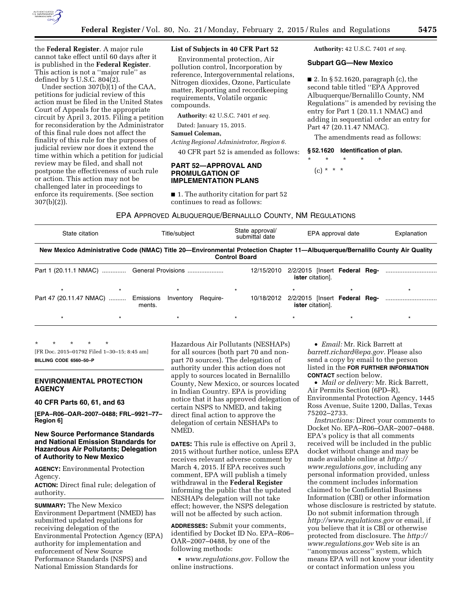

the **Federal Register**. A major rule cannot take effect until 60 days after it is published in the **Federal Register**. This action is not a ''major rule'' as defined by 5 U.S.C. 804(2).

Under section 307(b)(1) of the CAA, petitions for judicial review of this action must be filed in the United States Court of Appeals for the appropriate circuit by April 3, 2015. Filing a petition for reconsideration by the Administrator of this final rule does not affect the finality of this rule for the purposes of judicial review nor does it extend the time within which a petition for judicial review may be filed, and shall not postpone the effectiveness of such rule or action. This action may not be challenged later in proceedings to enforce its requirements. (See section 307(b)(2)).

# **List of Subjects in 40 CFR Part 52**

Environmental protection, Air pollution control, Incorporation by reference, Intergovernmental relations, Nitrogen dioxides, Ozone, Particulate matter, Reporting and recordkeeping requirements, Volatile organic compounds.

**Authority:** 42 U.S.C. 7401 *et seq.* 

Dated: January 15, 2015.

## **Samuel Coleman,**

*Acting Regional Administrator, Region 6.* 

40 CFR part 52 is amended as follows:

# **PART 52—APPROVAL AND PROMULGATION OF IMPLEMENTATION PLANS**

■ 1. The authority citation for part 52 continues to read as follows:

**Authority:** 42 U.S.C. 7401 *et seq.* 

#### **Subpart GG—New Mexico**

 $\blacksquare$  2. In § 52.1620, paragraph (c), the second table titled ''EPA Approved Albuquerque/Bernalillo County, NM Regulations'' is amended by revising the entry for Part 1 (20.11.1 NMAC) and adding in sequential order an entry for Part 47 (20.11.47 NMAC).

The amendments read as follows:

# **§ 52.1620 Identification of plan.**

\* \* \* \* \*  $(c) * * * *$ 

EPA APPROVED ALBUQUERQUE/BERNALILLO COUNTY, NM REGULATIONS

| State citation | Title/subject                                                                                                                | State approval/<br>submittal date | EPA approval date       | Explanation |
|----------------|------------------------------------------------------------------------------------------------------------------------------|-----------------------------------|-------------------------|-------------|
|                | New Mexico Administrative Code (NMAC) Title 20—Environmental Protection Chapter 11—Albuguergue/Bernalillo County Air Quality | <b>Control Board</b>              |                         |             |
|                | Part 1 (20.11.1 NMAC)  General Provisions                                                                                    | 12/15/2010                        | <b>ister</b> citation]. |             |
|                |                                                                                                                              |                                   |                         |             |

|  | Part 47 (20.11.47 NMAC)  Emissions Inventory Require-<br>ments. |  | <b>ister</b> citation]. |  |
|--|-----------------------------------------------------------------|--|-------------------------|--|
|  |                                                                 |  |                         |  |

\* \* \* \* \* [FR Doc. 2015–01792 Filed 1–30–15; 8:45 am] **BILLING CODE 6560–50–P** 

# **ENVIRONMENTAL PROTECTION AGENCY**

#### **40 CFR Parts 60, 61, and 63**

**[EPA–R06–OAR–2007–0488; FRL–9921–77– Region 6]** 

# **New Source Performance Standards and National Emission Standards for Hazardous Air Pollutants; Delegation of Authority to New Mexico**

**AGENCY:** Environmental Protection Agency.

**ACTION:** Direct final rule; delegation of authority.

**SUMMARY:** The New Mexico Environment Department (NMED) has submitted updated regulations for receiving delegation of the Environmental Protection Agency (EPA) authority for implementation and enforcement of New Source Performance Standards (NSPS) and National Emission Standards for

Hazardous Air Pollutants (NESHAPs) for all sources (both part 70 and nonpart 70 sources). The delegation of authority under this action does not apply to sources located in Bernalillo County, New Mexico, or sources located in Indian Country. EPA is providing notice that it has approved delegation of certain NSPS to NMED, and taking direct final action to approve the delegation of certain NESHAPs to NMED.

**DATES:** This rule is effective on April 3, 2015 without further notice, unless EPA receives relevant adverse comment by March 4, 2015. If EPA receives such comment, EPA will publish a timely withdrawal in the **Federal Register**  informing the public that the updated NESHAPs delegation will not take effect; however, the NSPS delegation will not be affected by such action.

**ADDRESSES:** Submit your comments, identified by Docket ID No. EPA–R06– OAR–2007–0488, by one of the following methods:

• *[www.regulations.gov.](http://www.regulations.gov)* Follow the online instructions.

• *Email:* Mr. Rick Barrett at *[barrett.richard@epa.gov.](mailto:barrett.richard@epa.gov)* Please also send a copy by email to the person listed in the **FOR FURTHER INFORMATION CONTACT** section below.

• *Mail or delivery:* Mr. Rick Barrett, Air Permits Section (6PD–R), Environmental Protection Agency, 1445 Ross Avenue, Suite 1200, Dallas, Texas 75202–2733.

*Instructions:* Direct your comments to Docket No. EPA–R06–OAR–2007–0488. EPA's policy is that all comments received will be included in the public docket without change and may be made available online at *[http://](http://www.regulations.gov) [www.regulations.gov,](http://www.regulations.gov)* including any personal information provided, unless the comment includes information claimed to be Confidential Business Information (CBI) or other information whose disclosure is restricted by statute. Do not submit information through *<http://www.regulations.gov>* or email, if you believe that it is CBI or otherwise protected from disclosure. The *[http://](http://www.regulations.gov) [www.regulations.gov](http://www.regulations.gov)* Web site is an ''anonymous access'' system, which means EPA will not know your identity or contact information unless you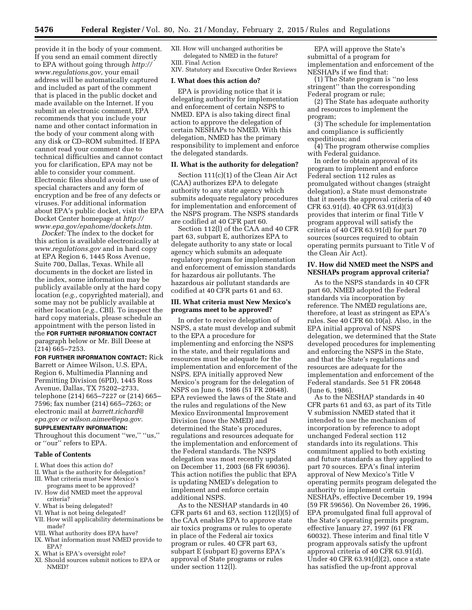provide it in the body of your comment. If you send an email comment directly to EPA without going through *[http://](http://www.regulations.gov) [www.regulations.gov,](http://www.regulations.gov)* your email address will be automatically captured and included as part of the comment that is placed in the public docket and made available on the Internet. If you submit an electronic comment, EPA recommends that you include your name and other contact information in the body of your comment along with any disk or CD–ROM submitted. If EPA cannot read your comment due to technical difficulties and cannot contact you for clarification, EPA may not be able to consider your comment. Electronic files should avoid the use of special characters and any form of encryption and be free of any defects or viruses. For additional information about EPA's public docket, visit the EPA Docket Center homepage at *[http://](http://www.epa.gov/epahome/dockets.htm) [www.epa.gov/epahome/dockets.htm.](http://www.epa.gov/epahome/dockets.htm)* 

*Docket:* The index to the docket for this action is available electronically at *[www.regulations.gov](http://www.regulations.gov)* and in hard copy at EPA Region 6, 1445 Ross Avenue, Suite 700, Dallas, Texas. While all documents in the docket are listed in the index, some information may be publicly available only at the hard copy location (*e.g.,* copyrighted material), and some may not be publicly available at either location (*e.g.,* CBI). To inspect the hard copy materials, please schedule an appointment with the person listed in the **FOR FURTHER INFORMATION CONTACT** paragraph below or Mr. Bill Deese at (214) 665–7253.

**FOR FURTHER INFORMATION CONTACT:** Rick Barrett or Aimee Wilson, U.S. EPA, Region 6, Multimedia Planning and Permitting Division (6PD), 1445 Ross Avenue, Dallas, TX 75202–2733, telephone (214) 665–7227 or (214) 665– 7596; fax number (214) 665–7263; or electronic mail at *[barrett.richard@](mailto:barrett.richard@epa.gov) [epa.gov o](mailto:barrett.richard@epa.gov)r [wilson.aimee@epa.gov.](mailto:wilson.aimee@epa.gov)* 

# **SUPPLEMENTARY INFORMATION:**

Throughout this document ''we,'' ''us,'' or ''our'' refers to EPA.

#### **Table of Contents**

- I. What does this action do?
- II. What is the authority for delegation?
- III. What criteria must New Mexico's
- programs meet to be approved? IV. How did NMED meet the approval criteria?
- V. What is being delegated?
- VI. What is not being delegated?
- VII. How will applicability determinations be made?
- VIII. What authority does EPA have?
- IX. What information must NMED provide to EPA?
- X. What is EPA's oversight role?
- XI. Should sources submit notices to EPA or NMED?

XII. How will unchanged authorities be delegated to NMED in the future? XIII. Final Action

XIV. Statutory and Executive Order Reviews

# **I. What does this action do?**

EPA is providing notice that it is delegating authority for implementation and enforcement of certain NSPS to NMED. EPA is also taking direct final action to approve the delegation of certain NESHAPs to NMED. With this delegation, NMED has the primary responsibility to implement and enforce the delegated standards.

# **II. What is the authority for delegation?**

Section 111(c)(1) of the Clean Air Act (CAA) authorizes EPA to delegate authority to any state agency which submits adequate regulatory procedures for implementation and enforcement of the NSPS program. The NSPS standards are codified at 40 CFR part 60.

Section 112(l) of the CAA and 40 CFR part 63, subpart E, authorizes EPA to delegate authority to any state or local agency which submits an adequate regulatory program for implementation and enforcement of emission standards for hazardous air pollutants. The hazardous air pollutant standards are codified at 40 CFR parts 61 and 63.

## **III. What criteria must New Mexico's programs meet to be approved?**

In order to receive delegation of NSPS, a state must develop and submit to the EPA a procedure for implementing and enforcing the NSPS in the state, and their regulations and resources must be adequate for the implementation and enforcement of the NSPS. EPA initially approved New Mexico's program for the delegation of NSPS on June 6, 1986 (51 FR 20648). EPA reviewed the laws of the State and the rules and regulations of the New Mexico Environmental Improvement Division (now the NMED) and determined the State's procedures, regulations and resources adequate for the implementation and enforcement of the Federal standards. The NSPS delegation was most recently updated on December 11, 2003 (68 FR 69036). This action notifies the public that EPA is updating NMED's delegation to implement and enforce certain additional NSPS.

As to the NESHAP standards in 40 CFR parts  $61$  and  $63$ , section  $112(1)(5)$  of the CAA enables EPA to approve state air toxics programs or rules to operate in place of the Federal air toxics program or rules. 40 CFR part 63, subpart E (subpart E) governs EPA's approval of State programs or rules under section 112(l).

EPA will approve the State's submittal of a program for implementation and enforcement of the NESHAPs if we find that:

(1) The State program is ''no less stringent'' than the corresponding Federal program or rule;

(2) The State has adequate authority and resources to implement the program;

(3) The schedule for implementation and compliance is sufficiently expeditious; and

(4) The program otherwise complies with Federal guidance.

In order to obtain approval of its program to implement and enforce Federal section 112 rules as promulgated without changes (straight delegation), a State must demonstrate that it meets the approval criteria of 40 CFR 63.91(d). 40 CFR 63.91(d)(3) provides that interim or final Title V program approval will satisfy the criteria of 40 CFR 63.91(d) for part 70 sources (sources required to obtain operating permits pursuant to Title V of the Clean Air Act).

## **IV. How did NMED meet the NSPS and NESHAPs program approval criteria?**

As to the NSPS standards in 40 CFR part 60, NMED adopted the Federal standards via incorporation by reference. The NMED regulations are, therefore, at least as stringent as EPA's rules. See 40 CFR 60.10(a). Also, in the EPA initial approval of NSPS delegation, we determined that the State developed procedures for implementing and enforcing the NSPS in the State, and that the State's regulations and resources are adequate for the implementation and enforcement of the Federal standards. See 51 FR 20648 (June 6, 1986).

As to the NESHAP standards in 40 CFR parts 61 and 63, as part of its Title V submission NMED stated that it intended to use the mechanism of incorporation by reference to adopt unchanged Federal section 112 standards into its regulations. This commitment applied to both existing and future standards as they applied to part 70 sources. EPA's final interim approval of New Mexico's Title V operating permits program delegated the authority to implement certain NESHAPs, effective December 19, 1994 (59 FR 59656). On November 26, 1996, EPA promulgated final full approval of the State's operating permits program, effective January 27, 1997 (61 FR 60032). These interim and final title V program approvals satisfy the upfront approval criteria of 40 CFR 63.91(d). Under 40 CFR 63.91(d)(2), once a state has satisfied the up-front approval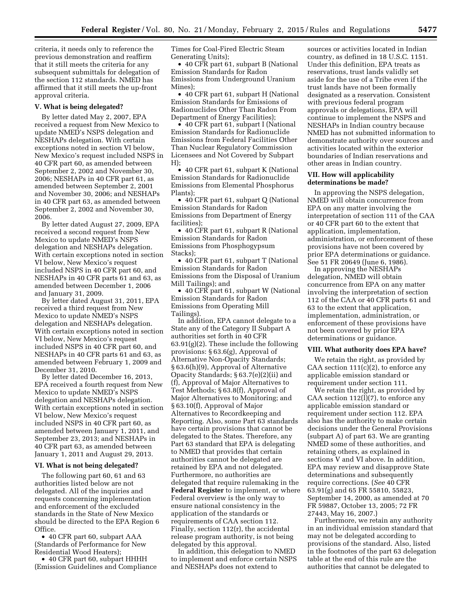criteria, it needs only to reference the previous demonstration and reaffirm that it still meets the criteria for any subsequent submittals for delegation of the section 112 standards. NMED has affirmed that it still meets the up-front approval criteria.

#### **V. What is being delegated?**

By letter dated May 2, 2007, EPA received a request from New Mexico to update NMED's NSPS delegation and NESHAPs delegation. With certain exceptions noted in section VI below, New Mexico's request included NSPS in 40 CFR part 60, as amended between September 2, 2002 and November 30, 2006; NESHAPs in 40 CFR part 61, as amended between September 2, 2001 and November 30, 2006; and NESHAPs in 40 CFR part 63, as amended between September 2, 2002 and November 30, 2006.

By letter dated August 27, 2009, EPA received a second request from New Mexico to update NMED's NSPS delegation and NESHAPs delegation. With certain exceptions noted in section VI below, New Mexico's request included NSPS in 40 CFR part 60, and NESHAPs in 40 CFR parts 61 and 63, as amended between December 1, 2006 and January 31, 2009.

By letter dated August 31, 2011, EPA received a third request from New Mexico to update NMED's NSPS delegation and NESHAPs delegation. With certain exceptions noted in section VI below, New Mexico's request included NSPS in 40 CFR part 60, and NESHAPs in 40 CFR parts 61 and 63, as amended between February 1, 2009 and December 31, 2010.

By letter dated December 16, 2013, EPA received a fourth request from New Mexico to update NMED's NSPS delegation and NESHAPs delegation. With certain exceptions noted in section VI below, New Mexico's request included NSPS in 40 CFR part 60, as amended between January 1, 2011, and September 23, 2013; and NESHAPs in 40 CFR part 63, as amended between January 1, 2011 and August 29, 2013.

#### **VI. What is not being delegated?**

The following part 60, 61 and 63 authorities listed below are not delegated. All of the inquiries and requests concerning implementation and enforcement of the excluded standards in the State of New Mexico should be directed to the EPA Region 6 Office.

• 40 CFR part 60, subpart AAA (Standards of Performance for New Residential Wood Heaters);

• 40 CFR part 60, subpart HHHH (Emission Guidelines and Compliance Times for Coal-Fired Electric Steam Generating Units);

• 40 CFR part 61, subpart B (National Emission Standards for Radon Emissions from Underground Uranium Mines);

• 40 CFR part 61, subpart H (National Emission Standards for Emissions of Radionuclides Other Than Radon From Department of Energy Facilities);

• 40 CFR part 61, subpart I (National Emission Standards for Radionuclide Emissions from Federal Facilities Other Than Nuclear Regulatory Commission Licensees and Not Covered by Subpart H);

• 40 CFR part 61, subpart K (National Emission Standards for Radionuclide Emissions from Elemental Phosphorus Plants);

• 40 CFR part 61, subpart Q (National Emission Standards for Radon Emissions from Department of Energy facilities);

• 40 CFR part 61, subpart R (National Emission Standards for Radon Emissions from Phosphogypsum Stacks);

• 40 CFR part 61, subpart T (National Emission Standards for Radon Emissions from the Disposal of Uranium Mill Tailings); and

• 40 CFR part 61, subpart W (National Emission Standards for Radon Emissions from Operating Mill Tailings).

In addition, EPA cannot delegate to a State any of the Category II Subpart A authorities set forth in 40 CFR 63.91(g)(2). These include the following provisions: § 63.6(g), Approval of Alternative Non-Opacity Standards; § 63.6(h)(9), Approval of Alternative Opacity Standards; § 63.7(e)(2)(ii) and (f), Approval of Major Alternatives to Test Methods; § 63.8(f), Approval of Major Alternatives to Monitoring; and § 63.10(f), Approval of Major Alternatives to Recordkeeping and Reporting. Also, some Part 63 standards have certain provisions that cannot be delegated to the States. Therefore, any Part 63 standard that EPA is delegating to NMED that provides that certain authorities cannot be delegated are retained by EPA and not delegated. Furthermore, no authorities are delegated that require rulemaking in the **Federal Register** to implement, or where Federal overview is the only way to ensure national consistency in the application of the standards or requirements of CAA section 112. Finally, section 112(r), the accidental release program authority, is not being delegated by this approval.

In addition, this delegation to NMED to implement and enforce certain NSPS and NESHAPs does not extend to

sources or activities located in Indian country, as defined in 18 U.S.C. 1151. Under this definition, EPA treats as reservations, trust lands validly set aside for the use of a Tribe even if the trust lands have not been formally designated as a reservation. Consistent with previous federal program approvals or delegations, EPA will continue to implement the NSPS and NESHAPs in Indian country because NMED has not submitted information to demonstrate authority over sources and activities located within the exterior boundaries of Indian reservations and other areas in Indian country.

# **VII. How will applicability determinations be made?**

In approving the NSPS delegation, NMED will obtain concurrence from EPA on any matter involving the interpretation of section 111 of the CAA or 40 CFR part 60 to the extent that application, implementation, administration, or enforcement of these provisions have not been covered by prior EPA determinations or guidance. See 51 FR 20649 (June 6, 1986).

In approving the NESHAPs delegation, NMED will obtain concurrence from EPA on any matter involving the interpretation of section 112 of the CAA or 40 CFR parts 61 and 63 to the extent that application, implementation, administration, or enforcement of these provisions have not been covered by prior EPA determinations or guidance.

#### **VIII. What authority does EPA have?**

We retain the right, as provided by CAA section  $111(c)(2)$ , to enforce any applicable emission standard or requirement under section 111.

We retain the right, as provided by CAA section  $112(1)(7)$ , to enforce any applicable emission standard or requirement under section 112. EPA also has the authority to make certain decisions under the General Provisions (subpart A) of part 63. We are granting NMED some of these authorities, and retaining others, as explained in sections V and VI above. In addition, EPA may review and disapprove State determinations and subsequently require corrections. (*See* 40 CFR 63.91(g) and 65 FR 55810, 55823, September 14, 2000, as amended at 70 FR 59887, October 13, 2005; 72 FR 27443, May 16, 2007.)

Furthermore, we retain any authority in an individual emission standard that may not be delegated according to provisions of the standard. Also, listed in the footnotes of the part 63 delegation table at the end of this rule are the authorities that cannot be delegated to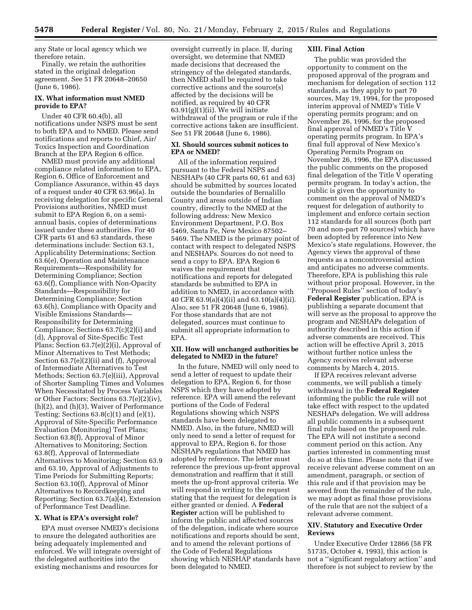any State or local agency which we therefore retain.

Finally, we retain the authorities stated in the original delegation agreement. See 51 FR 20648–20650 (June 6, 1986).

# **IX. What information must NMED provide to EPA?**

Under 40 CFR 60.4(b), all notifications under NSPS must be sent to both EPA and to NMED. Please send notifications and reports to Chief, Air/ Toxics Inspection and Coordination Branch at the EPA Region 6 office.

NMED must provide any additional compliance related information to EPA, Region 6, Office of Enforcement and Compliance Assurance, within 45 days of a request under 40 CFR 63.96(a). In receiving delegation for specific General Provisions authorities, NMED must submit to EPA Region 6, on a semiannual basis, copies of determinations issued under these authorities. For 40 CFR parts 61 and 63 standards, these determinations include: Section 63.1, Applicability Determinations; Section 63.6(e), Operation and Maintenance Requirements—Responsibility for Determining Compliance; Section 63.6(f), Compliance with Non-Opacity Standards—Responsibility for Determining Compliance; Section 63.6(h), Compliance with Opacity and Visible Emissions Standards— Responsibility for Determining Compliance; Sections  $63.7(c)(2)(i)$  and (d), Approval of Site-Specific Test Plans; Section 63.7(e)(2)(i), Approval of Minor Alternatives to Test Methods; Section 63.7(e)(2)(ii) and (f), Approval of Intermediate Alternatives to Test Methods; Section 63.7(e)(iii), Approval of Shorter Sampling Times and Volumes When Necessitated by Process Variables or Other Factors; Sections 63.7(e)(2)(iv), (h)(2), and (h)(3), Waiver of Performance Testing; Sections  $63.8(c)(1)$  and  $(e)(1)$ , Approval of Site-Specific Performance Evaluation (Monitoring) Test Plans; Section 63.8(f), Approval of Minor Alternatives to Monitoring; Section 63.8(f), Approval of Intermediate Alternatives to Monitoring; Section 63.9 and 63.10, Approval of Adjustments to Time Periods for Submitting Reports; Section 63.10(f), Approval of Minor Alternatives to Recordkeeping and Reporting; Section 63.7(a)(4), Extension of Performance Test Deadline.

# **X. What is EPA's oversight role?**

EPA must oversee NMED's decisions to ensure the delegated authorities are being adequately implemented and enforced. We will integrate oversight of the delegated authorities into the existing mechanisms and resources for

oversight currently in place. If, during oversight, we determine that NMED made decisions that decreased the stringency of the delegated standards, then NMED shall be required to take corrective actions and the source(s) affected by the decisions will be notified, as required by 40 CFR 63.91(g)(1)(ii). We will initiate withdrawal of the program or rule if the corrective actions taken are insufficient. See 51 FR 20648 (June 6, 1986).

# **XI. Should sources submit notices to EPA or NMED?**

All of the information required pursuant to the Federal NSPS and NESHAPs (40 CFR parts 60, 61 and 63) should be submitted by sources located outside the boundaries of Bernalillo County and areas outside of Indian country, directly to the NMED at the following address: New Mexico Environment Department, P.O. Box 5469, Santa Fe, New Mexico 87502– 5469. The NMED is the primary point of contact with respect to delegated NSPS and NESHAPs. Sources do not need to send a copy to EPA. EPA Region 6 waives the requirement that notifications and reports for delegated standards be submitted to EPA in addition to NMED, in accordance with 40 CFR 63.9(a)(4)(ii) and 63.10(a)(4)(ii). Also, see 51 FR 20648 (June 6, 1986). For those standards that are not delegated, sources must continue to submit all appropriate information to EPA.

# **XII. How will unchanged authorities be delegated to NMED in the future?**

In the future, NMED will only need to send a letter of request to update their delegation to EPA, Region 6, for those NSPS which they have adopted by reference. EPA will amend the relevant portions of the Code of Federal Regulations showing which NSPS standards have been delegated to NMED. Also, in the future, NMED will only need to send a letter of request for approval to EPA, Region 6, for those NESHAPs regulations that NMED has adopted by reference. The letter must reference the previous up-front approval demonstration and reaffirm that it still meets the up-front approval criteria. We will respond in writing to the request stating that the request for delegation is either granted or denied. A **Federal Register** action will be published to inform the public and affected sources of the delegation, indicate where source notifications and reports should be sent, and to amend the relevant portions of the Code of Federal Regulations showing which NESHAP standards have been delegated to NMED.

# **XIII. Final Action**

The public was provided the opportunity to comment on the proposed approval of the program and mechanism for delegation of section 112 standards, as they apply to part 70 sources, May 19, 1994, for the proposed interim approval of NMED's Title V operating permits program; and on November 26, 1996, for the proposed final approval of NMED's Title V operating permits program. In EPA's final full approval of New Mexico's Operating Permits Program on November 26, 1996, the EPA discussed the public comments on the proposed final delegation of the Title V operating permits program. In today's action, the public is given the opportunity to comment on the approval of NMED's request for delegation of authority to implement and enforce certain section 112 standards for all sources (both part 70 and non-part 70 sources) which have been adopted by reference into New Mexico's state regulations. However, the Agency views the approval of these requests as a noncontroversial action and anticipates no adverse comments. Therefore, EPA is publishing this rule without prior proposal. However, in the ''Proposed Rules'' section of today's **Federal Register** publication, EPA is publishing a separate document that will serve as the proposal to approve the program and NESHAPs delegation of authority described in this action if adverse comments are received. This action will be effective April 3, 2015 without further notice unless the Agency receives relevant adverse comments by March 4, 2015. If EPA receives relevant adverse

comments, we will publish a timely withdrawal in the **Federal Register**  informing the public the rule will not take effect with respect to the updated NESHAPs delegation. We will address all public comments in a subsequent final rule based on the proposed rule. The EPA will not institute a second comment period on this action. Any parties interested in commenting must do so at this time. Please note that if we receive relevant adverse comment on an amendment, paragraph, or section of this rule and if that provision may be severed from the remainder of the rule, we may adopt as final those provisions of the rule that are not the subject of a relevant adverse comment.

# **XIV. Statutory and Executive Order Reviews**

Under Executive Order 12866 (58 FR 51735, October 4, 1993), this action is not a ''significant regulatory action'' and therefore is not subject to review by the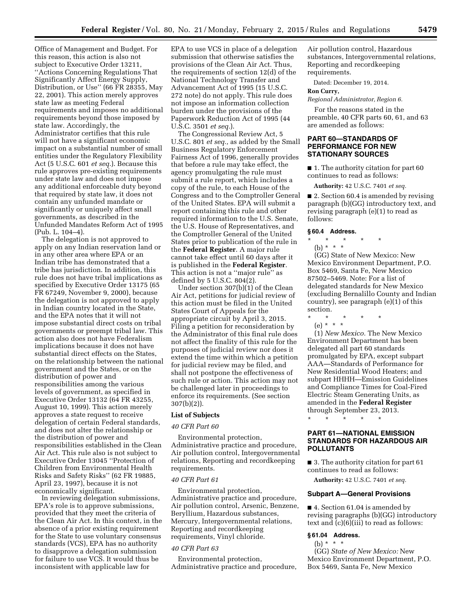Office of Management and Budget. For this reason, this action is also not subject to Executive Order 13211, ''Actions Concerning Regulations That Significantly Affect Energy Supply, Distribution, or Use'' (66 FR 28355, May 22, 2001). This action merely approves state law as meeting Federal requirements and imposes no additional requirements beyond those imposed by state law. Accordingly, the Administrator certifies that this rule will not have a significant economic impact on a substantial number of small entities under the Regulatory Flexibility Act (5 U.S.C. 601 *et seq.*). Because this rule approves pre-existing requirements under state law and does not impose any additional enforceable duty beyond that required by state law, it does not contain any unfunded mandate or significantly or uniquely affect small governments, as described in the Unfunded Mandates Reform Act of 1995 (Pub. L. 104–4).

The delegation is not approved to apply on any Indian reservation land or in any other area where EPA or an Indian tribe has demonstrated that a tribe has jurisdiction. In addition, this rule does not have tribal implications as specified by Executive Order 13175 (65 FR 67249, November 9, 2000), because the delegation is not approved to apply in Indian country located in the State, and the EPA notes that it will not impose substantial direct costs on tribal governments or preempt tribal law. This action also does not have Federalism implications because it does not have substantial direct effects on the States, on the relationship between the national government and the States, or on the distribution of power and responsibilities among the various levels of government, as specified in Executive Order 13132 (64 FR 43255, August 10, 1999). This action merely approves a state request to receive delegation of certain Federal standards, and does not alter the relationship or the distribution of power and responsibilities established in the Clean Air Act. This rule also is not subject to Executive Order 13045 ''Protection of Children from Environmental Health Risks and Safety Risks'' (62 FR 19885, April 23, 1997), because it is not economically significant.

In reviewing delegation submissions, EPA's role is to approve submissions, provided that they meet the criteria of the Clean Air Act. In this context, in the absence of a prior existing requirement for the State to use voluntary consensus standards (VCS), EPA has no authority to disapprove a delegation submission for failure to use VCS. It would thus be inconsistent with applicable law for

EPA to use VCS in place of a delegation submission that otherwise satisfies the provisions of the Clean Air Act. Thus, the requirements of section 12(d) of the National Technology Transfer and Advancement Act of 1995 (15 U.S.C. 272 note) do not apply. This rule does not impose an information collection burden under the provisions of the Paperwork Reduction Act of 1995 (44 U.S.C. 3501 *et seq.*).

The Congressional Review Act, 5 U.S.C. 801 *et seq.,* as added by the Small Business Regulatory Enforcement Fairness Act of 1996, generally provides that before a rule may take effect, the agency promulgating the rule must submit a rule report, which includes a copy of the rule, to each House of the Congress and to the Comptroller General of the United States. EPA will submit a report containing this rule and other required information to the U.S. Senate, the U.S. House of Representatives, and the Comptroller General of the United States prior to publication of the rule in the **Federal Register**. A major rule cannot take effect until 60 days after it is published in the **Federal Register**. This action is not a ''major rule'' as defined by 5 U.S.C. 804(2).

Under section 307(b)(1) of the Clean Air Act, petitions for judicial review of this action must be filed in the United States Court of Appeals for the appropriate circuit by April 3, 2015. Filing a petition for reconsideration by the Administrator of this final rule does not affect the finality of this rule for the purposes of judicial review nor does it extend the time within which a petition for judicial review may be filed, and shall not postpone the effectiveness of such rule or action. This action may not be challenged later in proceedings to enforce its requirements. (See section 307(b)(2)).

## **List of Subjects**

#### *40 CFR Part 60*

Environmental protection, Administrative practice and procedure, Air pollution control, Intergovernmental relations, Reporting and recordkeeping requirements.

#### *40 CFR Part 61*

Environmental protection, Administrative practice and procedure, Air pollution control, Arsenic, Benzene, Beryllium, Hazardous substances, Mercury, Intergovernmental relations, Reporting and recordkeeping requirements, Vinyl chloride.

#### *40 CFR Part 63*

Environmental protection, Administrative practice and procedure, Air pollution control, Hazardous substances, Intergovernmental relations, Reporting and recordkeeping requirements.

Dated: December 19, 2014.

#### **Ron Curry,**

*Regional Administrator, Region 6.* 

For the reasons stated in the preamble, 40 CFR parts 60, 61, and 63 are amended as follows:

# **PART 60—STANDARDS OF PERFORMANCE FOR NEW STATIONARY SOURCES**

■ 1. The authority citation for part 60 continues to read as follows:

**Authority:** 42 U.S.C. 7401 *et seq.* 

■ 2. Section 60.4 is amended by revising paragraph (b)(GG) introductory text, and revising paragraph (e)(1) to read as follows:

#### **§ 60.4 Address.**

# \* \* \* \* \*

(b) \* \* \*

(GG) State of New Mexico: New Mexico Environment Department, P.O. Box 5469, Santa Fe, New Mexico 87502–5469. Note: For a list of delegated standards for New Mexico (excluding Bernalillo County and Indian country), see paragraph (e)(1) of this section.

\* \* \* \* \* (e) \* \* \*

(1) *New Mexico.* The New Mexico Environment Department has been delegated all part 60 standards promulgated by EPA, except subpart AAA—Standards of Performance for New Residential Wood Heaters; and subpart HHHH—Emission Guidelines and Compliance Times for Coal-Fired Electric Steam Generating Units, as amended in the **Federal Register**  through September 23, 2013. \* \* \* \* \*

# **PART 61—NATIONAL EMISSION STANDARDS FOR HAZARDOUS AIR POLLUTANTS**

■ 3. The authority citation for part 61 continues to read as follows:

**Authority:** 42 U.S.C. 7401 *et seq.* 

# **Subpart A—General Provisions**

■ 4. Section 61.04 is amended by revising paragraphs (b)(GG) introductory text and (c)(6)(iii) to read as follows:

# **§ 61.04 Address.**

(b) \* \* \*

(GG) *State of New Mexico:* New Mexico Environment Department, P.O. Box 5469, Santa Fe, New Mexico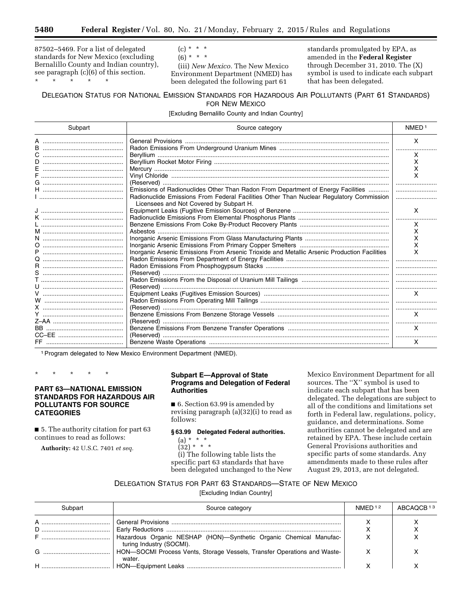87502–5469. For a list of delegated standards for New Mexico (excluding Bernalillo County and Indian country), see paragraph (c)(6) of this section.

\* \* \* \* \*

 $(c) * * * *$ 

 $(6) * * * *$ 

(iii) *New Mexico.* The New Mexico Environment Department (NMED) has been delegated the following part 61

standards promulgated by EPA, as amended in the **Federal Register**  through December 31, 2010. The (X) symbol is used to indicate each subpart that has been delegated.

# DELEGATION STATUS FOR NATIONAL EMISSION STANDARDS FOR HAZARDOUS AIR POLLUTANTS (PART 61 STANDARDS) FOR NEW MEXICO

[Excluding Bernalillo County and Indian Country]

| Subpart      | Source category                                                                              | NMED <sup>1</sup> |
|--------------|----------------------------------------------------------------------------------------------|-------------------|
|              |                                                                                              | X                 |
|              |                                                                                              | x                 |
| D.           |                                                                                              | x                 |
|              |                                                                                              |                   |
|              |                                                                                              |                   |
|              |                                                                                              |                   |
|              | Emissions of Radionuclides Other Than Radon From Department of Energy Facilities             |                   |
|              | Radionuclide Emissions From Federal Facilities Other Than Nuclear Regulatory Commission      |                   |
|              | Licensees and Not Covered by Subpart H.                                                      |                   |
|              |                                                                                              | X                 |
|              |                                                                                              |                   |
|              |                                                                                              | x                 |
|              |                                                                                              | x                 |
|              |                                                                                              |                   |
|              |                                                                                              |                   |
|              | Inorganic Arsenic Emissions From Arsenic Trioxide and Metallic Arsenic Production Facilities | x                 |
|              |                                                                                              |                   |
|              |                                                                                              |                   |
|              |                                                                                              |                   |
|              |                                                                                              |                   |
| $\mathbf{U}$ |                                                                                              |                   |
|              |                                                                                              |                   |
|              |                                                                                              |                   |
|              |                                                                                              |                   |
|              |                                                                                              | X                 |
|              |                                                                                              |                   |
|              |                                                                                              | X                 |
|              |                                                                                              |                   |
|              |                                                                                              | X                 |

<sup>1</sup> Program delegated to New Mexico Environment Department (NMED).

\* \* \* \* \*

# **PART 63—NATIONAL EMISSION STANDARDS FOR HAZARDOUS AIR POLLUTANTS FOR SOURCE CATEGORIES**

■ 5. The authority citation for part 63 continues to read as follows:

**Authority:** 42 U.S.C. 7401 *et seq.* 

# **Subpart E—Approval of State Programs and Delegation of Federal Authorities**

■ 6. Section 63.99 is amended by revising paragraph (a)(32)(i) to read as follows:

# **§ 63.99 Delegated Federal authorities.**

(a) \* \* \*  $(32) * * * *$ 

(i) The following table lists the specific part 63 standards that have been delegated unchanged to the New Mexico Environment Department for all sources. The ''X'' symbol is used to indicate each subpart that has been delegated. The delegations are subject to all of the conditions and limitations set forth in Federal law, regulations, policy, guidance, and determinations. Some authorities cannot be delegated and are retained by EPA. These include certain General Provisions authorities and specific parts of some standards. Any amendments made to these rules after August 29, 2013, are not delegated.

# DELEGATION STATUS FOR PART 63 STANDARDS—STATE OF NEW MEXICO

[Excluding Indian Country]

| Subpart | Source category                                                                                | NMFD <sup>12</sup> | ABCAOCR <sup>13</sup> |
|---------|------------------------------------------------------------------------------------------------|--------------------|-----------------------|
|         |                                                                                                |                    |                       |
|         |                                                                                                |                    |                       |
|         | Hazardous Organic NESHAP (HON)-Synthetic Organic Chemical Manufac-<br>turing Industry (SOCMI). |                    |                       |
|         | HON-SOCMI Process Vents, Storage Vessels, Transfer Operations and Waste-<br>water.             |                    |                       |
|         |                                                                                                |                    |                       |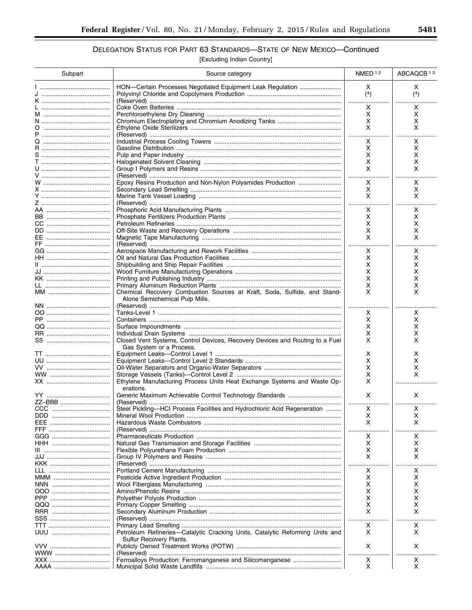# DELEGATION STATUS FOR PART 63 STANDARDS-STATE OF NEW MEXICO-Continued

[Excluding Indian Country]

| Subpart          | Source category                                                              | NMED <sup>12</sup> | ABCAQCB <sup>13</sup> |
|------------------|------------------------------------------------------------------------------|--------------------|-----------------------|
|                  | HON-Certain Processes Negotiated Equipment Leak Regulation                   | X                  | X                     |
|                  |                                                                              | (4)                | (4)                   |
|                  |                                                                              | .                  |                       |
|                  |                                                                              | X                  | x                     |
|                  |                                                                              | X                  | X                     |
|                  |                                                                              | X<br>X             | х<br>x                |
|                  |                                                                              | .                  |                       |
|                  |                                                                              | x                  | x                     |
|                  |                                                                              | X                  | X                     |
| S …………………………………… |                                                                              | х                  | х                     |
|                  |                                                                              | х                  | x                     |
|                  |                                                                              | X                  | X                     |
|                  |                                                                              |                    |                       |
|                  |                                                                              | x<br>X             | X<br>Χ                |
|                  |                                                                              | X                  | X                     |
|                  |                                                                              |                    | $\cdots$              |
| AA ………………………………… |                                                                              | Χ                  | x                     |
|                  |                                                                              | Χ                  | X                     |
|                  |                                                                              | X                  | x                     |
|                  |                                                                              | X                  | х                     |
|                  |                                                                              | x                  | x                     |
|                  |                                                                              | .                  |                       |
|                  |                                                                              | x                  | x                     |
|                  |                                                                              | X<br>х             | х<br>х                |
|                  |                                                                              | х                  | х                     |
|                  |                                                                              | х                  | х                     |
|                  |                                                                              | х                  | х                     |
|                  | Chemical Recovery Combustion Sources at Kraft, Soda, Sulfide, and Stand-     | x                  | x                     |
|                  | Alone Semichemical Pulp Mills.                                               |                    |                       |
|                  |                                                                              |                    |                       |
|                  |                                                                              | х                  | х                     |
|                  |                                                                              | х                  | X                     |
|                  |                                                                              | х<br>x             | x                     |
|                  | Closed Vent Systems, Control Devices, Recovery Devices and Routing to a Fuel | X                  | x<br>x                |
|                  | Gas System or a Process.                                                     |                    |                       |
|                  |                                                                              | х                  | x                     |
|                  |                                                                              | х                  | x                     |
|                  |                                                                              | х                  | х                     |
|                  |                                                                              | х                  | x                     |
|                  | Ethylene Manufacturing Process Units Heat Exchange Systems and Waste Op-     | X                  |                       |
|                  | erations.                                                                    |                    |                       |
|                  |                                                                              | X                  | X                     |
| ZZ-BBB           | Steel Pickling-HCI Process Facilities and Hydrochloric Acid Regeneration     |                    | x                     |
|                  |                                                                              | X.<br>х            | x                     |
| EEE.             |                                                                              | X                  | x                     |
|                  |                                                                              |                    |                       |
|                  |                                                                              | x                  | x                     |
|                  |                                                                              | х                  | х                     |
|                  |                                                                              | х                  | x                     |
|                  |                                                                              | X                  | X                     |
|                  |                                                                              |                    |                       |
|                  |                                                                              | x                  | x                     |
| MMM              |                                                                              | х<br>x             | x<br>х                |
|                  |                                                                              | x                  | х                     |
|                  |                                                                              | x                  | х                     |
|                  |                                                                              | x                  | х                     |
|                  |                                                                              | X                  | x                     |
|                  |                                                                              |                    |                       |
|                  |                                                                              | x                  | X                     |
|                  | Petroleum Refineries-Catalytic Cracking Units, Catalytic Reforming Units and | X                  | X                     |
|                  | Sulfur Recovery Plants.                                                      |                    |                       |
|                  |                                                                              | X                  | X                     |
| WWW              |                                                                              | x                  | X                     |
| AAAA …………………………… |                                                                              | Χ                  | X                     |
|                  |                                                                              |                    |                       |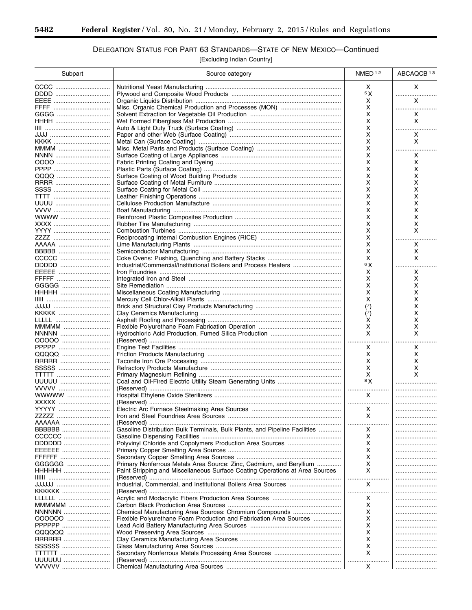-

# DELEGATION STATUS FOR PART 63 STANDARDS-STATE OF NEW MEXICO-Continued

[Excluding Indian Country]

| Subpart        | Source category                                                              | NMED <sup>12</sup> | ABCAQCB <sup>13</sup> |
|----------------|------------------------------------------------------------------------------|--------------------|-----------------------|
|                |                                                                              | х                  | X                     |
|                |                                                                              | 5 X                | .                     |
|                |                                                                              | х                  | X                     |
|                |                                                                              | X                  | .                     |
|                |                                                                              | X                  | X                     |
| HHHH           |                                                                              | X                  | X                     |
|                |                                                                              | x                  | .                     |
|                |                                                                              | X                  | Χ                     |
|                |                                                                              | x                  | X                     |
| MMMM           |                                                                              | x<br>x             | <br>X                 |
|                |                                                                              | Χ                  | X                     |
|                |                                                                              | x                  | x                     |
|                |                                                                              | Χ                  | x                     |
|                |                                                                              | x                  | х                     |
|                |                                                                              | Χ                  | x                     |
|                |                                                                              | х                  | x                     |
|                |                                                                              | Χ                  | x                     |
|                |                                                                              | x                  | х                     |
| WWWW           |                                                                              | х                  | x                     |
|                |                                                                              | x                  | х                     |
|                |                                                                              | х                  | x                     |
|                |                                                                              | x                  |                       |
|                |                                                                              | х                  | x                     |
| BBBBB          |                                                                              | X                  | х                     |
| CCCCC          |                                                                              | х<br>6 X           | x                     |
| DDDDD<br>EEEEE | Industrial/Commercial/Institutional Boilers and Process Heaters              |                    |                       |
|                |                                                                              | х<br>x             | x<br>х                |
| GGGGG          |                                                                              | x                  | х                     |
|                |                                                                              | х                  | х                     |
|                |                                                                              | X                  | х                     |
|                |                                                                              | (7)                | х                     |
| KKKKK          |                                                                              | (7)                | x                     |
|                |                                                                              | х                  | х                     |
| MMMM           |                                                                              | X                  | x                     |
| NNNNN          |                                                                              | X                  | X                     |
| 00000          |                                                                              | .                  |                       |
| PPPPP          |                                                                              | х                  | x                     |
| QQQQQ          |                                                                              | х                  | x                     |
| RRRRR          |                                                                              | х                  | х                     |
|                |                                                                              | х                  | х                     |
|                |                                                                              | Х<br>8X            | X                     |
| UUUUU<br>VVVVV |                                                                              |                    |                       |
| WWWW           |                                                                              | <br>X              |                       |
|                |                                                                              |                    |                       |
|                |                                                                              | X                  |                       |
|                |                                                                              | X                  |                       |
| AAAAAA         |                                                                              | .                  |                       |
| BBBBBB         | Gasoline Distribution Bulk Terminals, Bulk Plants, and Pipeline Facilities   | х                  |                       |
| CCCCCC         |                                                                              | х                  | .                     |
| DDDDDD         |                                                                              | х                  | .                     |
| EEEEEE         |                                                                              | х                  |                       |
| FFFFFF         |                                                                              | х                  |                       |
| GGGGGG         | Primary Nonferrous Metals Area Source: Zinc, Cadmium, and Beryllium          | х                  |                       |
| HHHHHH         | Paint Stripping and Miscellaneous Surface Coating Operations at Area Sources | X                  |                       |
| undulu         |                                                                              | X                  |                       |
| KKKKKK         |                                                                              |                    | <br>.                 |
|                |                                                                              | .<br>х             |                       |
| MMMMM          |                                                                              | X                  |                       |
| NNNNNN         |                                                                              | X                  |                       |
| 000000         | Flexible Polyurethane Foam Production and Fabrication Area Sources           | X                  |                       |
| PPPPPP         |                                                                              | X                  |                       |
| QQQQQQ         |                                                                              | X                  |                       |
| RRRRRR         |                                                                              | X                  |                       |
| SSSSSS         |                                                                              | х                  |                       |
| <b>TTTTTT</b>  |                                                                              | х                  |                       |
| UUUUUU         |                                                                              |                    |                       |
| VVVVVV         |                                                                              | x                  |                       |